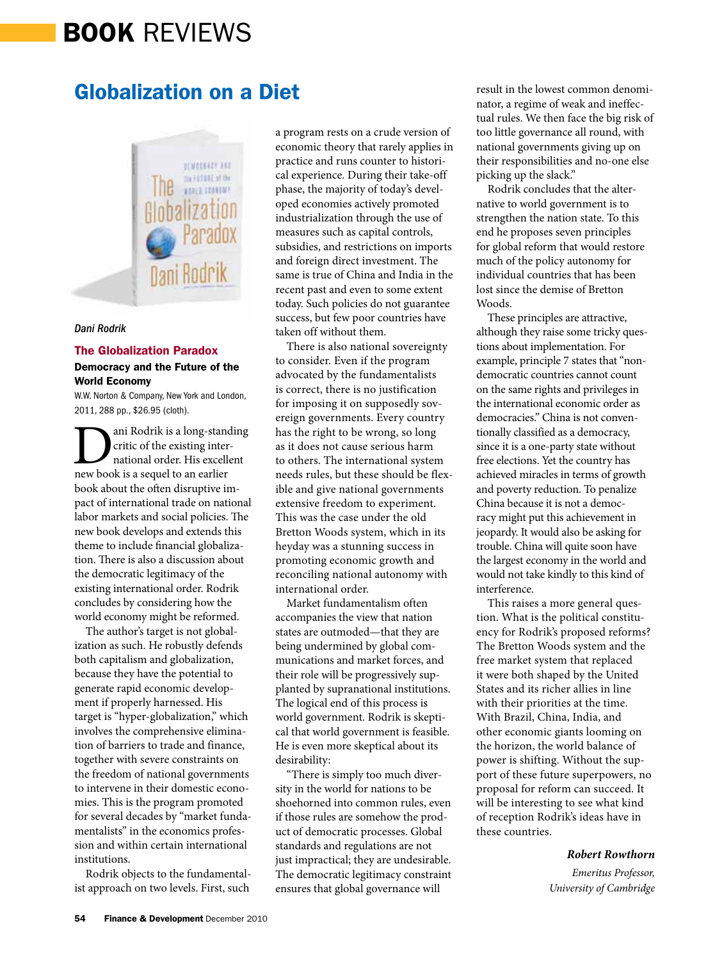# BOOK REVIEWS

## Globalization on a Diet



#### *Dani Rodrik*

#### The Globalization Paradox

### Democracy and the Future of the World Economy

W.W. Norton & Company, New York and London, 2011, 288 pp., \$26.95 (cloth).

**D**ani Rodrik is a long-standing<br>critic of the existing inter-<br>new book is a sequel to an earlier critic of the existing international order. His excellent book about the often disruptive impact of international trade on national labor markets and social policies. The new book develops and extends this theme to include financial globalization. There is also a discussion about the democratic legitimacy of the existing international order. Rodrik concludes by considering how the world economy might be reformed.

The author's target is not globalization as such. He robustly defends both capitalism and globalization, because they have the potential to generate rapid economic development if properly harnessed. His target is "hyper-globalization," which involves the comprehensive elimination of barriers to trade and finance, together with severe constraints on the freedom of national governments to intervene in their domestic economies. This is the program promoted for several decades by "market fundamentalists" in the economics profession and within certain international institutions.

Rodrik objects to the fundamentalist approach on two levels. First, such

a program rests on a crude version of economic theory that rarely applies in practice and runs counter to historical experience. During their take-off phase, the majority of today's developed economies actively promoted industrialization through the use of measures such as capital controls, subsidies, and restrictions on imports and foreign direct investment. The same is true of China and India in the recent past and even to some extent today. Such policies do not guarantee success, but few poor countries have taken off without them.

There is also national sovereignty to consider. Even if the program advocated by the fundamentalists is correct, there is no justification for imposing it on supposedly sovereign governments. Every country has the right to be wrong, so long as it does not cause serious harm to others. The international system needs rules, but these should be flexible and give national governments extensive freedom to experiment. This was the case under the old Bretton Woods system, which in its heyday was a stunning success in promoting economic growth and reconciling national autonomy with international order.

Market fundamentalism often accompanies the view that nation states are outmoded—that they are being undermined by global communications and market forces, and their role will be progressively supplanted by supranational institutions. The logical end of this process is world government. Rodrik is skeptical that world government is feasible. He is even more skeptical about its desirability:

"There is simply too much diversity in the world for nations to be shoehorned into common rules, even if those rules are somehow the product of democratic processes. Global standards and regulations are not just impractical; they are undesirable. The democratic legitimacy constraint ensures that global governance will

result in the lowest common denominator, a regime of weak and ineffectual rules. We then face the big risk of too little governance all round, with national governments giving up on their responsibilities and no-one else picking up the slack."

Rodrik concludes that the alternative to world government is to strengthen the nation state. To this end he proposes seven principles for global reform that would restore much of the policy autonomy for individual countries that has been lost since the demise of Bretton Woods.

These principles are attractive, although they raise some tricky questions about implementation. For example, principle 7 states that "nondemocratic countries cannot count on the same rights and privileges in the international economic order as democracies." China is not conventionally classified as a democracy, since it is a one-party state without free elections. Yet the country has achieved miracles in terms of growth and poverty reduction. To penalize China because it is not a democracy might put this achievement in jeopardy. It would also be asking for trouble. China will quite soon have the largest economy in the world and would not take kindly to this kind of interference.

This raises a more general question. What is the political constituency for Rodrik's proposed reforms? The Bretton Woods system and the free market system that replaced it were both shaped by the United States and its richer allies in line with their priorities at the time. With Brazil, China, India, and other economic giants looming on the horizon, the world balance of power is shifting. Without the support of these future superpowers, no proposal for reform can succeed. It will be interesting to see what kind of reception Rodrik's ideas have in these countries.

#### *Robert Rowthorn*

*Emeritus Professor, University of Cambridge*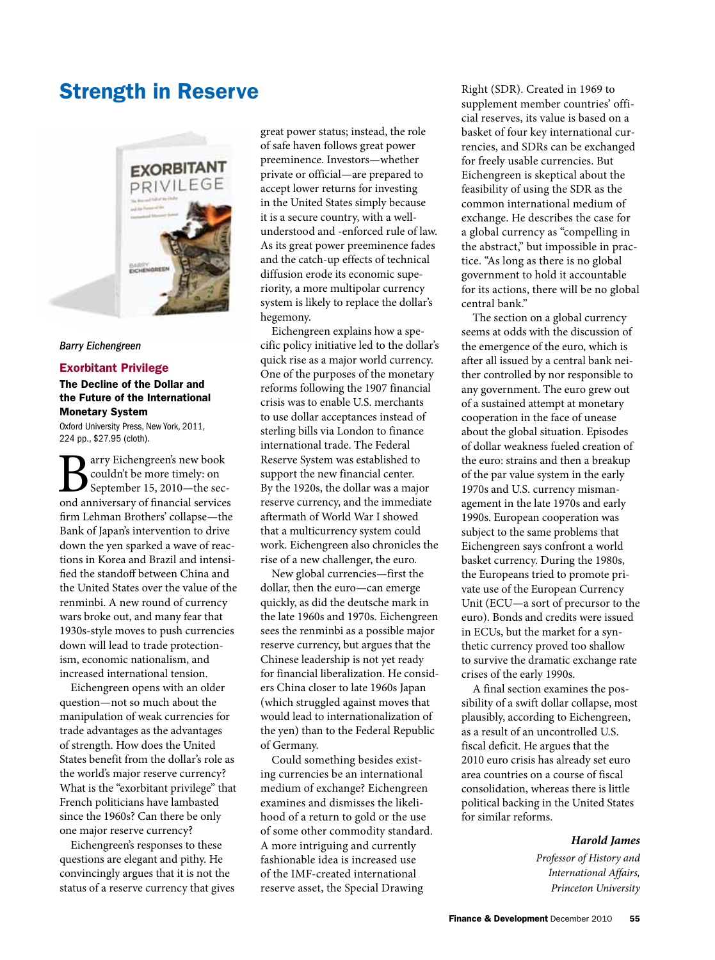## Strength in Reserve



#### *Barry Eichengreen*

#### Exorbitant Privilege

## The Decline of the Dollar and the Future of the International Monetary System

Oxford University Press, New York, 2011, 224 pp., \$27.95 (cloth).

**B**<br>
scylidarity be more timely: on<br>
September 15, 2010—the second anniversary of financial services couldn't be more timely: on September 15, 2010—the secfirm Lehman Brothers' collapse—the Bank of Japan's intervention to drive down the yen sparked a wave of reactions in Korea and Brazil and intensified the standoff between China and the United States over the value of the renminbi. A new round of currency wars broke out, and many fear that 1930s-style moves to push currencies down will lead to trade protectionism, economic nationalism, and increased international tension.

Eichengreen opens with an older question—not so much about the manipulation of weak currencies for trade advantages as the advantages of strength. How does the United States benefit from the dollar's role as the world's major reserve currency? What is the "exorbitant privilege" that French politicians have lambasted since the 1960s? Can there be only one major reserve currency?

Eichengreen's responses to these questions are elegant and pithy. He convincingly argues that it is not the status of a reserve currency that gives

great power status; instead, the role of safe haven follows great power preeminence. Investors—whether private or official—are prepared to accept lower returns for investing in the United States simply because it is a secure country, with a wellunderstood and -enforced rule of law. As its great power preeminence fades and the catch-up effects of technical diffusion erode its economic superiority, a more multipolar currency system is likely to replace the dollar's hegemony.

Eichengreen explains how a specific policy initiative led to the dollar's quick rise as a major world currency. One of the purposes of the monetary reforms following the 1907 financial crisis was to enable U.S. merchants to use dollar acceptances instead of sterling bills via London to finance international trade. The Federal Reserve System was established to support the new financial center. By the 1920s, the dollar was a major reserve currency, and the immediate aftermath of World War I showed that a multicurrency system could work. Eichengreen also chronicles the rise of a new challenger, the euro.

New global currencies—first the dollar, then the euro—can emerge quickly, as did the deutsche mark in the late 1960s and 1970s. Eichengreen sees the renminbi as a possible major reserve currency, but argues that the Chinese leadership is not yet ready for financial liberalization. He considers China closer to late 1960s Japan (which struggled against moves that would lead to internationalization of the yen) than to the Federal Republic of Germany.

Could something besides existing currencies be an international medium of exchange? Eichengreen examines and dismisses the likelihood of a return to gold or the use of some other commodity standard. A more intriguing and currently fashionable idea is increased use of the IMF-created international reserve asset, the Special Drawing

Right (SDR). Created in 1969 to supplement member countries' official reserves, its value is based on a basket of four key international currencies, and SDRs can be exchanged for freely usable currencies. But Eichengreen is skeptical about the feasibility of using the SDR as the common international medium of exchange. He describes the case for a global currency as "compelling in the abstract," but impossible in practice. "As long as there is no global government to hold it accountable for its actions, there will be no global central bank."

The section on a global currency seems at odds with the discussion of the emergence of the euro, which is after all issued by a central bank neither controlled by nor responsible to any government. The euro grew out of a sustained attempt at monetary cooperation in the face of unease about the global situation. Episodes of dollar weakness fueled creation of the euro: strains and then a breakup of the par value system in the early 1970s and U.S. currency mismanagement in the late 1970s and early 1990s. European cooperation was subject to the same problems that Eichengreen says confront a world basket currency. During the 1980s, the Europeans tried to promote private use of the European Currency Unit (ECU—a sort of precursor to the euro). Bonds and credits were issued in ECUs, but the market for a synthetic currency proved too shallow to survive the dramatic exchange rate crises of the early 1990s.

A final section examines the possibility of a swift dollar collapse, most plausibly, according to Eichengreen, as a result of an uncontrolled U.S. fiscal deficit. He argues that the 2010 euro crisis has already set euro area countries on a course of fiscal consolidation, whereas there is little political backing in the United States for similar reforms.

### *Harold James*

*Professor of History and International Affairs, Princeton University*